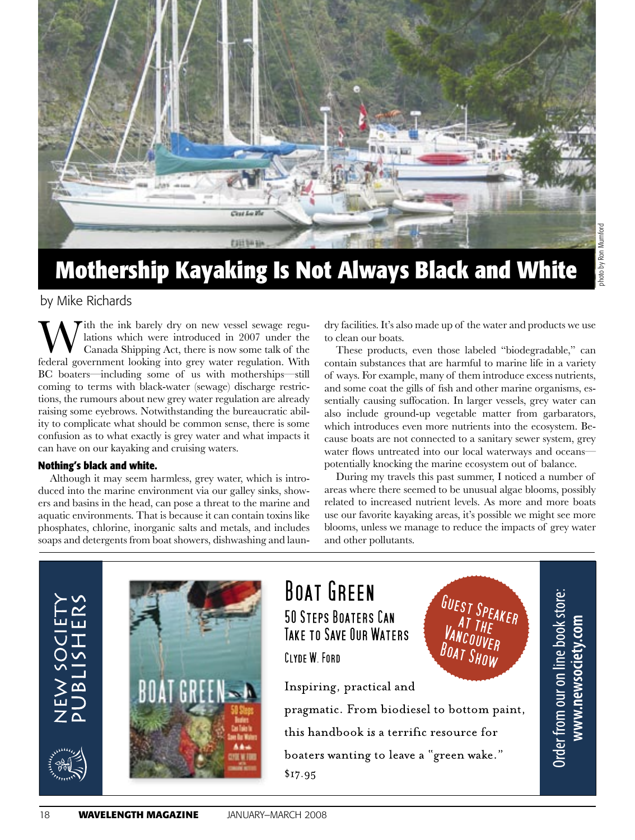

# **Mothership Kayaking Is Not Always Black and White**

## by Mike Richards

ith the ink barely dry on new vessel sewage regulations which were introduced in 2007 under the Canada Shipping Act, there is now some talk of the federal government looking into grey water regulation. With BC boaters—including some of us with motherships—still coming to terms with black-water (sewage) discharge restrictions, the rumours about new grey water regulation are already raising some eyebrows. Notwithstanding the bureaucratic ability to complicate what should be common sense, there is some confusion as to what exactly is grey water and what impacts it can have on our kayaking and cruising waters.

### **Nothing's black and white.**

Although it may seem harmless, grey water, which is introduced into the marine environment via our galley sinks, showers and basins in the head, can pose a threat to the marine and aquatic environments. That is because it can contain toxins like phosphates, chlorine, inorganic salts and metals, and includes soaps and detergents from boat showers, dishwashing and laundry facilities. It's also made up of the water and products we use to clean our boats.

These products, even those labeled "biodegradable," can contain substances that are harmful to marine life in a variety of ways. For example, many of them introduce excess nutrients, and some coat the gills of fish and other marine organisms, essentially causing suffocation. In larger vessels, grey water can also include ground-up vegetable matter from garbarators, which introduces even more nutrients into the ecosystem. Because boats are not connected to a sanitary sewer system, grey water flows untreated into our local waterways and oceans potentially knocking the marine ecosystem out of balance.

During my travels this past summer, I noticed a number of areas where there seemed to be unusual algae blooms, possibly related to increased nutrient levels. As more and more boats use our favorite kayaking areas, it's possible we might see more blooms, unless we manage to reduce the impacts of grey water and other pollutants.